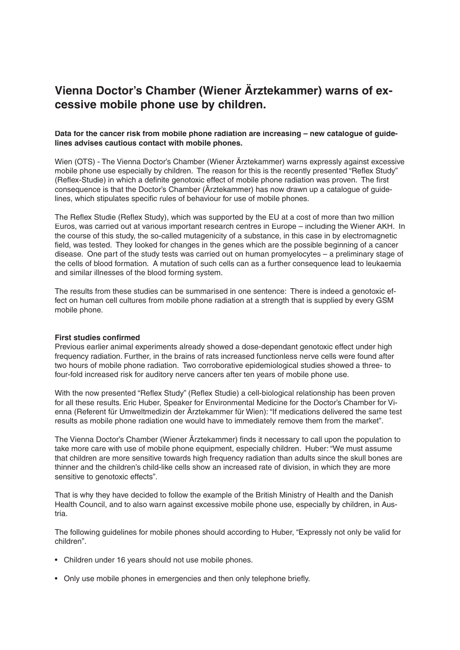## **Vienna Doctor's Chamber (Wiener Ärztekammer) warns of excessive mobile phone use by children.**

## **Data for the cancer risk from mobile phone radiation are increasing – new catalogue of guidelines advises cautious contact with mobile phones.**

Wien (OTS) - The Vienna Doctor's Chamber (Wiener Ärztekammer) warns expressly against excessive mobile phone use especially by children. The reason for this is the recently presented "Reflex Study" (Reflex-Studie) in which a definite genotoxic effect of mobile phone radiation was proven. The first consequence is that the Doctor's Chamber (Ärztekammer) has now drawn up a catalogue of guidelines, which stipulates specific rules of behaviour for use of mobile phones.

The Reflex Studie (Reflex Study), which was supported by the EU at a cost of more than two million Euros, was carried out at various important research centres in Europe – including the Wiener AKH. In the course of this study, the so-called mutagenicity of a substance, in this case in by electromagnetic field, was tested. They looked for changes in the genes which are the possible beginning of a cancer disease. One part of the study tests was carried out on human promyelocytes – a preliminary stage of the cells of blood formation. A mutation of such cells can as a further consequence lead to leukaemia and similar illnesses of the blood forming system.

The results from these studies can be summarised in one sentence: There is indeed a genotoxic effect on human cell cultures from mobile phone radiation at a strength that is supplied by every GSM mobile phone.

## **First studies confirmed**

Previous earlier animal experiments already showed a dose-dependant genotoxic effect under high frequency radiation. Further, in the brains of rats increased functionless nerve cells were found after two hours of mobile phone radiation. Two corroborative epidemiological studies showed a three- to four-fold increased risk for auditory nerve cancers after ten years of mobile phone use.

With the now presented "Reflex Study" (Reflex Studie) a cell-biological relationship has been proven for all these results. Eric Huber, Speaker for Environmental Medicine for the Doctor's Chamber for Vienna (Referent für Umweltmedizin der Ärztekammer für Wien): "If medications delivered the same test results as mobile phone radiation one would have to immediately remove them from the market".

The Vienna Doctor's Chamber (Wiener Ärztekammer) finds it necessary to call upon the population to take more care with use of mobile phone equipment, especially children. Huber: "We must assume that children are more sensitive towards high frequency radiation than adults since the skull bones are thinner and the children's child-like cells show an increased rate of division, in which they are more sensitive to genotoxic effects".

That is why they have decided to follow the example of the British Ministry of Health and the Danish Health Council, and to also warn against excessive mobile phone use, especially by children, in Austria.

The following guidelines for mobile phones should according to Huber, "Expressly not only be valid for children".

- Children under 16 years should not use mobile phones.
- Only use mobile phones in emergencies and then only telephone briefly.